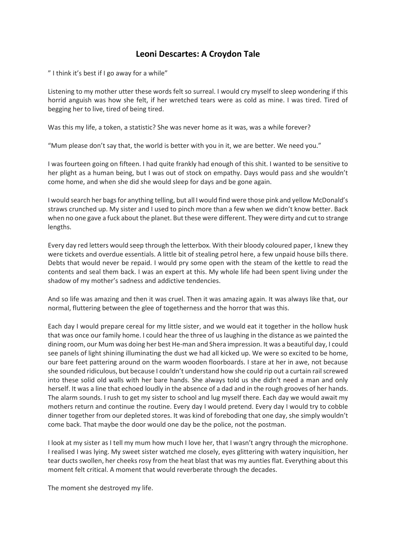## **[Leoni Descartes:](https://leonidescartes.co.uk/author/admin/) A Croydon Tale**

" I think it's best if I go away for a while"

Listening to my mother utter these words felt so surreal. I would cry myself to sleep wondering if this horrid anguish was how she felt, if her wretched tears were as cold as mine. I was tired. Tired of begging her to live, tired of being tired.

Was this my life, a token, a statistic? She was never home as it was, was a while forever?

"Mum please don't say that, the world is better with you in it, we are better. We need you."

I was fourteen going on fifteen. I had quite frankly had enough of this shit. I wanted to be sensitive to her plight as a human being, but I was out of stock on empathy. Days would pass and she wouldn't come home, and when she did she would sleep for days and be gone again.

I would search her bags for anything telling, but all I would find were those pink and yellow McDonald's straws crunched up. My sister and I used to pinch more than a few when we didn't know better. Back when no one gave a fuck about the planet. But these were different. They were dirty and cut to strange lengths.

Every day red letters would seep through the letterbox. With their bloody coloured paper, I knew they were tickets and overdue essentials. A little bit of stealing petrol here, a few unpaid house bills there. Debts that would never be repaid. I would pry some open with the steam of the kettle to read the contents and seal them back. I was an expert at this. My whole life had been spent living under the shadow of my mother's sadness and addictive tendencies.

And so life was amazing and then it was cruel. Then it was amazing again. It was always like that, our normal, fluttering between the glee of togetherness and the horror that was this.

Each day I would prepare cereal for my little sister, and we would eat it together in the hollow husk that was once our family home. I could hear the three of us laughing in the distance as we painted the dining room, our Mum was doing her best He-man and Shera impression. It was a beautiful day, I could see panels of light shining illuminating the dust we had all kicked up. We were so excited to be home, our bare feet pattering around on the warm wooden floorboards. I stare at her in awe, not because she sounded ridiculous, but because I couldn't understand how she could rip out a curtain rail screwed into these solid old walls with her bare hands. She always told us she didn't need a man and only herself. It was a line that echoed loudly in the absence of a dad and in the rough grooves of her hands. The alarm sounds. I rush to get my sister to school and lug myself there. Each day we would await my mothers return and continue the routine. Every day I would pretend. Every day I would try to cobble dinner together from our depleted stores. It was kind of foreboding that one day, she simply wouldn't come back. That maybe the door would one day be the police, not the postman.

I look at my sister as I tell my mum how much I love her, that I wasn't angry through the microphone. I realised I was lying. My sweet sister watched me closely, eyes glittering with watery inquisition, her tear ducts swollen, her cheeks rosy from the heat blast that was my aunties flat. Everything about this moment felt critical. A moment that would reverberate through the decades.

The moment she destroyed my life.